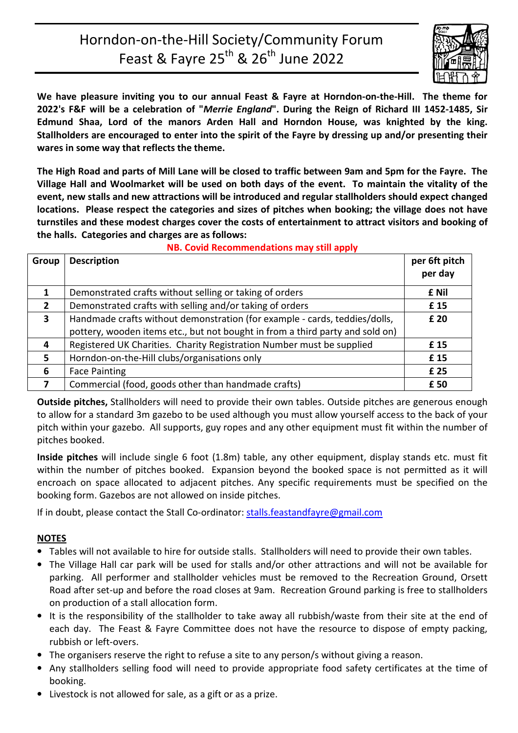# Horndon-on-the-Hill Society/Community Forum Feast & Fayre  $25^{th}$  &  $26^{th}$  June 2022



**We have pleasure inviting you to our annual Feast & Fayre at Horndon-on-the-Hill. The theme for 2022's F&F will be a celebration of "***Merrie England***". During the Reign of Richard III 1452-1485, Sir Edmund Shaa, Lord of the manors Arden Hall and Horndon House, was knighted by the king. Stallholders are encouraged to enter into the spirit of the Fayre by dressing up and/or presenting their wares in some way that reflects the theme.** 

**The High Road and parts of Mill Lane will be closed to traffic between 9am and 5pm for the Fayre. The Village Hall and Woolmarket will be used on both days of the event. To maintain the vitality of the event, new stalls and new attractions will be introduced and regular stallholders should expect changed locations. Please respect the categories and sizes of pitches when booking; the village does not have turnstiles and these modest charges cover the costs of entertainment to attract visitors and booking of the halls. Categories and charges are as follows:** 

| Group                   | <b>Description</b>                                                                                                                                          | per 6ft pitch<br>per day |
|-------------------------|-------------------------------------------------------------------------------------------------------------------------------------------------------------|--------------------------|
| 1                       | Demonstrated crafts without selling or taking of orders                                                                                                     | £ Nil                    |
| $\overline{2}$          | Demonstrated crafts with selling and/or taking of orders                                                                                                    | £15                      |
| $\overline{\mathbf{3}}$ | Handmade crafts without demonstration (for example - cards, teddies/dolls,<br>pottery, wooden items etc., but not bought in from a third party and sold on) | £ 20                     |
| 4                       | Registered UK Charities. Charity Registration Number must be supplied                                                                                       | £15                      |
| 5                       | Horndon-on-the-Hill clubs/organisations only                                                                                                                | £15                      |
| 6                       | <b>Face Painting</b>                                                                                                                                        | £ 25                     |
| 7                       | Commercial (food, goods other than handmade crafts)                                                                                                         | £ 50                     |

**NB. Covid Recommendations may still apply** 

**Outside pitches,** Stallholders will need to provide their own tables. Outside pitches are generous enough to allow for a standard 3m gazebo to be used although you must allow yourself access to the back of your pitch within your gazebo. All supports, guy ropes and any other equipment must fit within the number of pitches booked.

**Inside pitches** will include single 6 foot (1.8m) table, any other equipment, display stands etc. must fit within the number of pitches booked. Expansion beyond the booked space is not permitted as it will encroach on space allocated to adjacent pitches. Any specific requirements must be specified on the booking form. Gazebos are not allowed on inside pitches.

If in doubt, please contact the Stall Co-ordinator: stalls.feastandfayre@gmail.com

### **NOTES**

- Tables will not available to hire for outside stalls. Stallholders will need to provide their own tables.
- The Village Hall car park will be used for stalls and/or other attractions and will not be available for parking. All performer and stallholder vehicles must be removed to the Recreation Ground, Orsett Road after set-up and before the road closes at 9am. Recreation Ground parking is free to stallholders on production of a stall allocation form.
- It is the responsibility of the stallholder to take away all rubbish/waste from their site at the end of each day. The Feast & Fayre Committee does not have the resource to dispose of empty packing, rubbish or left-overs.
- The organisers reserve the right to refuse a site to any person/s without giving a reason.
- Any stallholders selling food will need to provide appropriate food safety certificates at the time of booking.
- Livestock is not allowed for sale, as a gift or as a prize.